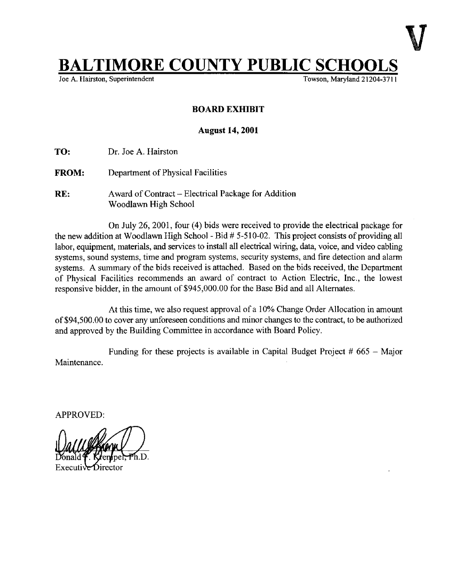## **BALTIMORE COUNTY PUBLIC SCHO**<br>Joe A. Hairston, Superintendent

Towson, Maryland 21204-3711

## BOARD EXHIBIT

## August 14, 2001

TO: Dr. Joe A. Hairston

**FROM:** Department of Physical Facilities

RE: Award of Contract – Electrical Package for Addition Woodlawn High School

On July 26, 2001, four (4) bids were received to provide the electrical package for the new addition at Woodlawn High School - Bid # 5-510-02. This project consists of providing all labor, equipment, materials, and services to install all electrical wiring, data, voice, and video cabling systems, sound systems, time and program systems, security systems, and fire detection and alarm systems. A summary of the bids received is attached. Based on the bids received, the Department of Physical Facilities recommends an award of contract to Action Electric, Inc., the lowest responsive bidder, in the amount of \$945,000.00 for the Base Bid and all Alternates .

At this time, we also request approval of <sup>a</sup> 10% Change Order Allocation in amount of \$94,500.00 to cover any unforeseen conditions and minor changes to the contract, to be authorized and approved by the Building Committee in accordance with Board Policy.

Maintenance. Funding for these projects is available in Capital Budget Project  $#665 - \text{Major}$ 

APPROVED: